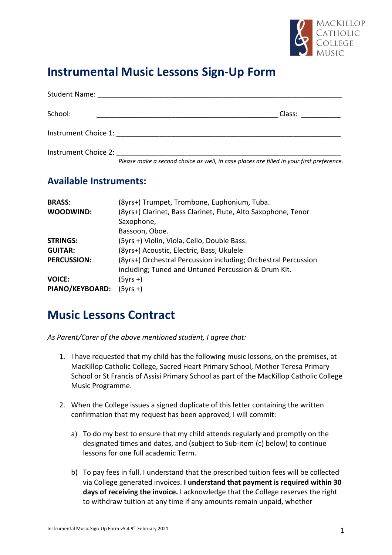

## **Instrumental Music Lessons Sign-Up Form**

| <b>Student Name:</b>                               |                       |
|----------------------------------------------------|-----------------------|
| School:                                            | Class:                |
| Instrument Choice 1:                               |                       |
| Instrument Choice 2:<br>$\cdots$<br>$\sim$<br>$ -$ | $\sim$ $\sim$<br>$-1$ |

*Please make a second choice as well, in case places are filled in your first preference.*

#### **Available Instruments:**

| <b>BRASS:</b>          | (8yrs+) Trumpet, Trombone, Euphonium, Tuba.                    |
|------------------------|----------------------------------------------------------------|
| WOODWIND:              | (8yrs+) Clarinet, Bass Clarinet, Flute, Alto Saxophone, Tenor  |
|                        | Saxophone,                                                     |
|                        | Bassoon, Oboe.                                                 |
| <b>STRINGS:</b>        | (5yrs +) Violin, Viola, Cello, Double Bass.                    |
| <b>GUITAR:</b>         | (8yrs+) Acoustic, Electric, Bass, Ukulele                      |
| <b>PERCUSSION:</b>     | (8yrs+) Orchestral Percussion including; Orchestral Percussion |
|                        | including; Tuned and Untuned Percussion & Drum Kit.            |
| <b>VOICE:</b>          | (5yrs +)                                                       |
| <b>PIANO/KEYBOARD:</b> | $(5yrs +)$                                                     |

### **Music Lessons Contract**

*As Parent/Carer of the above mentioned student, I agree that:*

- 1. I have requested that my child has the following music lessons, on the premises, at MacKillop Catholic College, Sacred Heart Primary School, Mother Teresa Primary School or St Francis of Assisi Primary School as part of the MacKillop Catholic College Music Programme.
- 2. When the College issues a signed duplicate of this letter containing the written confirmation that my request has been approved, I will commit:
	- a) To do my best to ensure that my child attends regularly and promptly on the designated times and dates, and (subject to Sub-item (c) below) to continue lessons for one full academic Term.
	- b) To pay fees in full. I understand that the prescribed tuition fees will be collected via College generated invoices. **I understand that payment is required within 30 days of receiving the invoice.** I acknowledge that the College reserves the right to withdraw tuition at any time if any amounts remain unpaid, whether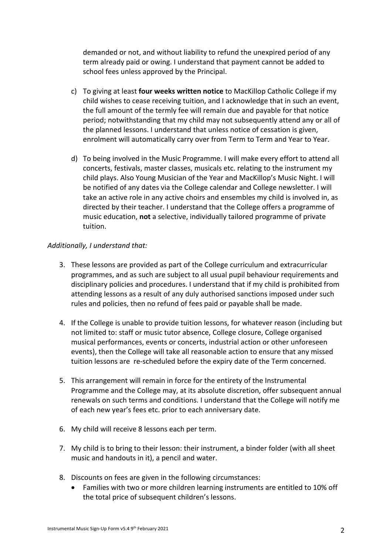demanded or not, and without liability to refund the unexpired period of any term already paid or owing. I understand that payment cannot be added to school fees unless approved by the Principal.

- c) To giving at least **four weeks written notice** to MacKillop Catholic College if my child wishes to cease receiving tuition, and I acknowledge that in such an event, the full amount of the termly fee will remain due and payable for that notice period; notwithstanding that my child may not subsequently attend any or all of the planned lessons. I understand that unless notice of cessation is given, enrolment will automatically carry over from Term to Term and Year to Year.
- d) To being involved in the Music Programme. I will make every effort to attend all concerts, festivals, master classes, musicals etc. relating to the instrument my child plays. Also Young Musician of the Year and MacKillop's Music Night. I will be notified of any dates via the College calendar and College newsletter. I will take an active role in any active choirs and ensembles my child is involved in, as directed by their teacher. I understand that the College offers a programme of music education, **not** a selective, individually tailored programme of private tuition.

#### *Additionally, I understand that:*

- 3. These lessons are provided as part of the College curriculum and extracurricular programmes, and as such are subject to all usual pupil behaviour requirements and disciplinary policies and procedures. I understand that if my child is prohibited from attending lessons as a result of any duly authorised sanctions imposed under such rules and policies, then no refund of fees paid or payable shall be made.
- 4. If the College is unable to provide tuition lessons, for whatever reason (including but not limited to: staff or music tutor absence, College closure, College organised musical performances, events or concerts, industrial action or other unforeseen events), then the College will take all reasonable action to ensure that any missed tuition lessons are re-scheduled before the expiry date of the Term concerned.
- 5. This arrangement will remain in force for the entirety of the Instrumental Programme and the College may, at its absolute discretion, offer subsequent annual renewals on such terms and conditions. I understand that the College will notify me of each new year's fees etc. prior to each anniversary date.
- 6. My child will receive 8 lessons each per term.
- 7. My child is to bring to their lesson: their instrument, a binder folder (with all sheet music and handouts in it), a pencil and water.
- 8. Discounts on fees are given in the following circumstances:
	- Families with two or more children learning instruments are entitled to 10% off the total price of subsequent children's lessons.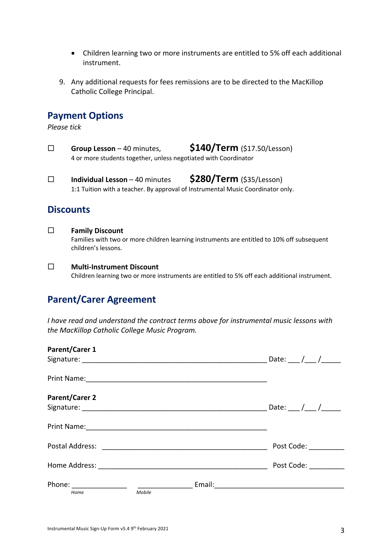- Children learning two or more instruments are entitled to 5% off each additional instrument.
- 9. Any additional requests for fees remissions are to be directed to the MacKillop Catholic College Principal.

#### **Payment Options**

*Please tick*

- ¨ **Group Lesson**  40 minutes, **\$140/Term** (\$17.50/Lesson) 4 or more students together, unless negotiated with Coordinator
- ¨ **Individual Lesson** 40 minutes **\$280/Term** (\$35/Lesson) 1:1 Tuition with a teacher. By approval of Instrumental Music Coordinator only.

#### **Discounts**

- ¨ **Family Discount** Families with two or more children learning instruments are entitled to 10% off subsequent children's lessons.
- ¨ **Multi-Instrument Discount** Children learning two or more instruments are entitled to 5% off each additional instrument.

### **Parent/Carer Agreement**

*I have read and understand the contract terms above for instrumental music lessons with the MacKillop Catholic College Music Program.* 

| <b>Parent/Carer 1</b> |        |                                                                                                                |                           |
|-----------------------|--------|----------------------------------------------------------------------------------------------------------------|---------------------------|
|                       |        |                                                                                                                | __ Date: ___ /___ /______ |
|                       |        |                                                                                                                |                           |
| <b>Parent/Carer 2</b> |        |                                                                                                                |                           |
|                       |        |                                                                                                                | Date: $/$ /               |
|                       |        |                                                                                                                |                           |
|                       |        | Postal Address: The Contract of Tennis and Tennis and Tennis and Tennis and Tennis and Tennis and Tennis and T | Post Code:                |
|                       |        |                                                                                                                | Post Code:                |
|                       |        |                                                                                                                |                           |
| Home                  | Mobile |                                                                                                                |                           |